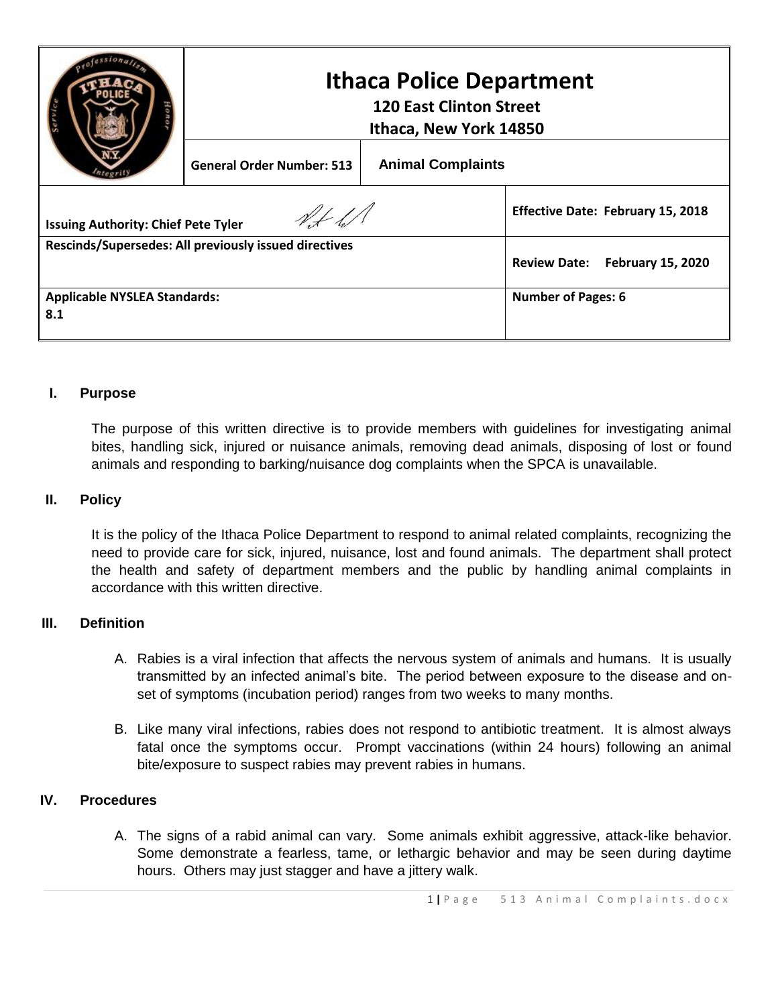|                                                       | <b>Ithaca Police Department</b><br><b>120 East Clinton Street</b><br>Ithaca, New York 14850 |                          |                                                 |
|-------------------------------------------------------|---------------------------------------------------------------------------------------------|--------------------------|-------------------------------------------------|
|                                                       | <b>General Order Number: 513</b>                                                            | <b>Animal Complaints</b> |                                                 |
| <b>Issuing Authority: Chief Pete Tyler</b>            |                                                                                             |                          | <b>Effective Date: February 15, 2018</b>        |
| Rescinds/Supersedes: All previously issued directives |                                                                                             |                          | <b>Review Date:</b><br><b>February 15, 2020</b> |
| <b>Applicable NYSLEA Standards:</b><br>8.1            |                                                                                             |                          | <b>Number of Pages: 6</b>                       |

## **I. Purpose**

The purpose of this written directive is to provide members with guidelines for investigating animal bites, handling sick, injured or nuisance animals, removing dead animals, disposing of lost or found animals and responding to barking/nuisance dog complaints when the SPCA is unavailable.

## **II. Policy**

It is the policy of the Ithaca Police Department to respond to animal related complaints, recognizing the need to provide care for sick, injured, nuisance, lost and found animals. The department shall protect the health and safety of department members and the public by handling animal complaints in accordance with this written directive.

## **III. Definition**

- A. Rabies is a viral infection that affects the nervous system of animals and humans. It is usually transmitted by an infected animal's bite. The period between exposure to the disease and onset of symptoms (incubation period) ranges from two weeks to many months.
- B. Like many viral infections, rabies does not respond to antibiotic treatment. It is almost always fatal once the symptoms occur. Prompt vaccinations (within 24 hours) following an animal bite/exposure to suspect rabies may prevent rabies in humans.

## **IV. Procedures**

A. The signs of a rabid animal can vary. Some animals exhibit aggressive, attack-like behavior. Some demonstrate a fearless, tame, or lethargic behavior and may be seen during daytime hours. Others may just stagger and have a jittery walk.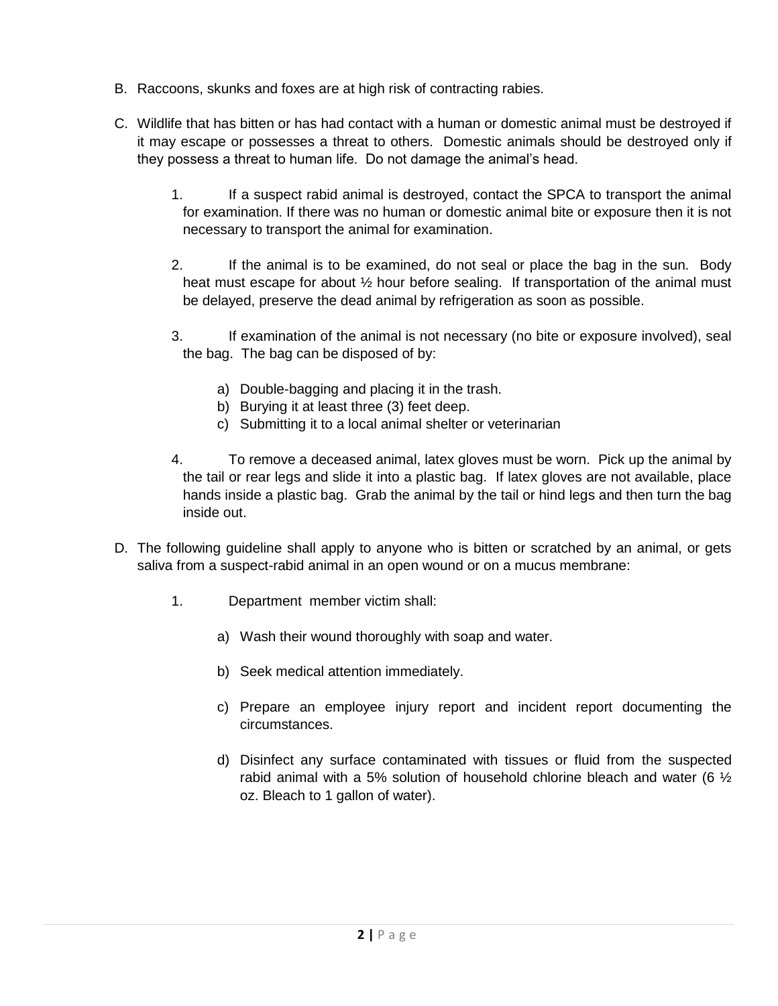- B. Raccoons, skunks and foxes are at high risk of contracting rabies.
- C. Wildlife that has bitten or has had contact with a human or domestic animal must be destroyed if it may escape or possesses a threat to others. Domestic animals should be destroyed only if they possess a threat to human life. Do not damage the animal's head.
	- 1. If a suspect rabid animal is destroyed, contact the SPCA to transport the animal for examination. If there was no human or domestic animal bite or exposure then it is not necessary to transport the animal for examination.
	- 2. If the animal is to be examined, do not seal or place the bag in the sun. Body heat must escape for about  $\frac{1}{2}$  hour before sealing. If transportation of the animal must be delayed, preserve the dead animal by refrigeration as soon as possible.
	- 3. If examination of the animal is not necessary (no bite or exposure involved), seal the bag. The bag can be disposed of by:
		- a) Double-bagging and placing it in the trash.
		- b) Burying it at least three (3) feet deep.
		- c) Submitting it to a local animal shelter or veterinarian
	- 4. To remove a deceased animal, latex gloves must be worn. Pick up the animal by the tail or rear legs and slide it into a plastic bag. If latex gloves are not available, place hands inside a plastic bag. Grab the animal by the tail or hind legs and then turn the bag inside out.
- D. The following guideline shall apply to anyone who is bitten or scratched by an animal, or gets saliva from a suspect-rabid animal in an open wound or on a mucus membrane:
	- 1. Department member victim shall:
		- a) Wash their wound thoroughly with soap and water.
		- b) Seek medical attention immediately.
		- c) Prepare an employee injury report and incident report documenting the circumstances.
		- d) Disinfect any surface contaminated with tissues or fluid from the suspected rabid animal with a 5% solution of household chlorine bleach and water (6  $\frac{1}{2}$ ) oz. Bleach to 1 gallon of water).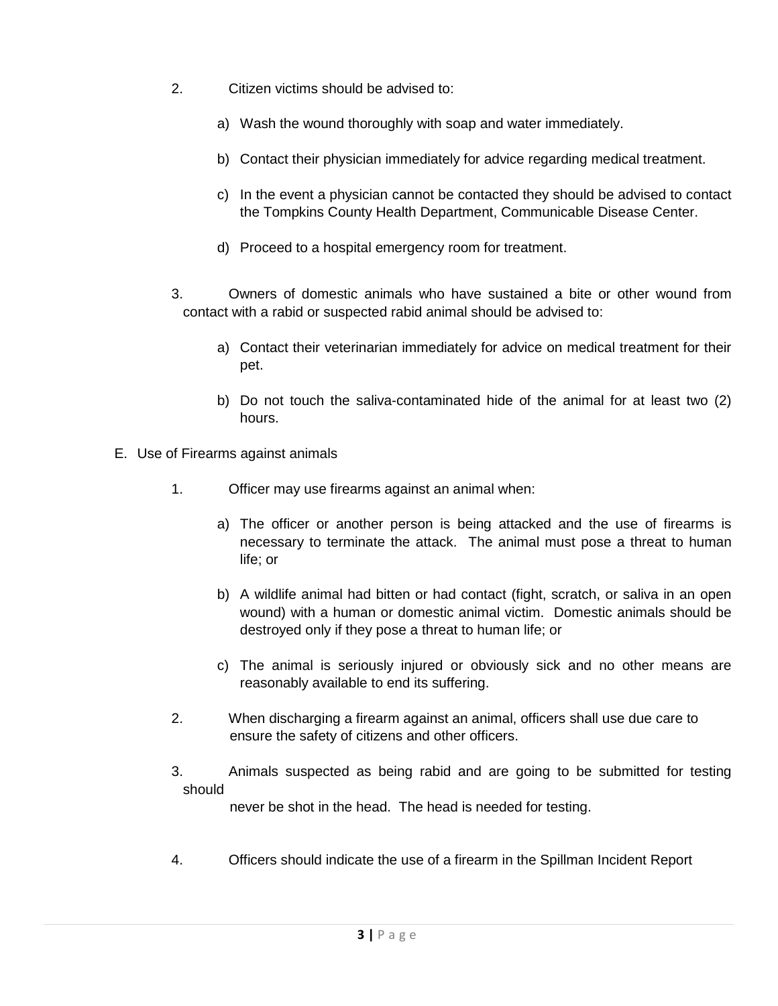- 2. Citizen victims should be advised to:
	- a) Wash the wound thoroughly with soap and water immediately.
	- b) Contact their physician immediately for advice regarding medical treatment.
	- c) In the event a physician cannot be contacted they should be advised to contact the Tompkins County Health Department, Communicable Disease Center.
	- d) Proceed to a hospital emergency room for treatment.
- 3. Owners of domestic animals who have sustained a bite or other wound from contact with a rabid or suspected rabid animal should be advised to:
	- a) Contact their veterinarian immediately for advice on medical treatment for their pet.
	- b) Do not touch the saliva-contaminated hide of the animal for at least two (2) hours.
- E. Use of Firearms against animals
	- 1. Officer may use firearms against an animal when:
		- a) The officer or another person is being attacked and the use of firearms is necessary to terminate the attack. The animal must pose a threat to human life; or
		- b) A wildlife animal had bitten or had contact (fight, scratch, or saliva in an open wound) with a human or domestic animal victim. Domestic animals should be destroyed only if they pose a threat to human life; or
		- c) The animal is seriously injured or obviously sick and no other means are reasonably available to end its suffering.
	- 2. When discharging a firearm against an animal, officers shall use due care to ensure the safety of citizens and other officers.
	- 3. Animals suspected as being rabid and are going to be submitted for testing should

never be shot in the head. The head is needed for testing.

4. Officers should indicate the use of a firearm in the Spillman Incident Report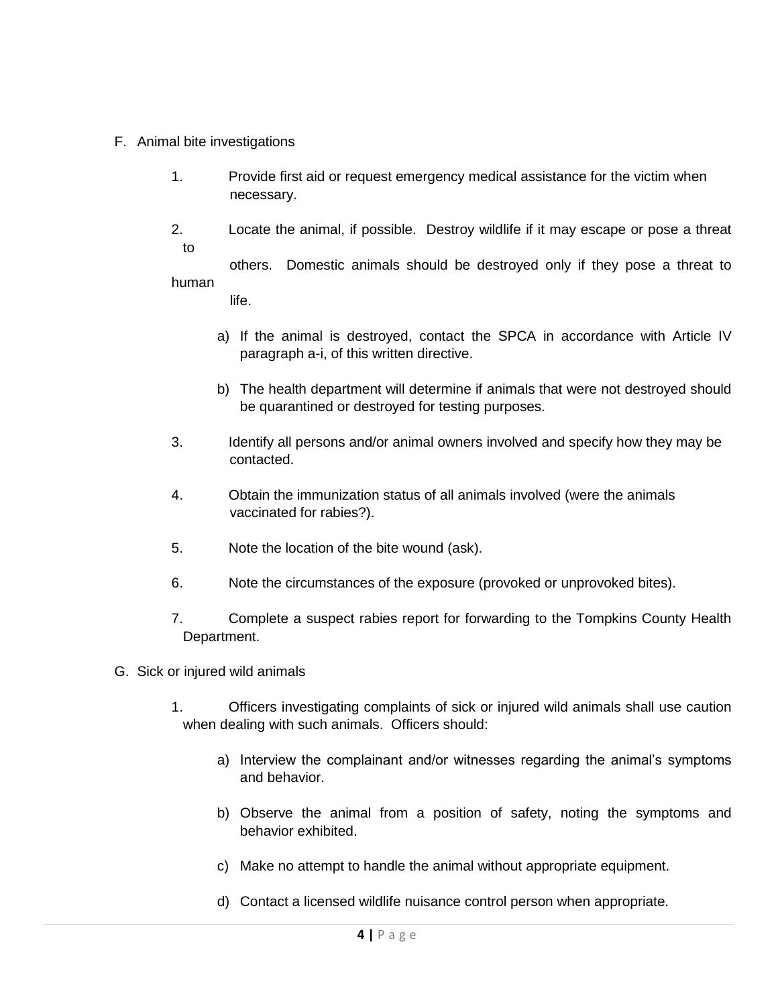- F. Animal bite investigations
	- 1. Provide first aid or request emergency medical assistance for the victim when necessary.
	- 2. Locate the animal, if possible. Destroy wildlife if it may escape or pose a threat to

 others. Domestic animals should be destroyed only if they pose a threat to human

life.

- a) If the animal is destroyed, contact the SPCA in accordance with Article IV paragraph a-i, of this written directive.
- b) The health department will determine if animals that were not destroyed should be quarantined or destroyed for testing purposes.
- 3. Identify all persons and/or animal owners involved and specify how they may be contacted.
- 4. Obtain the immunization status of all animals involved (were the animals vaccinated for rabies?).
- 5. Note the location of the bite wound (ask).
- 6. Note the circumstances of the exposure (provoked or unprovoked bites).
- 7. Complete a suspect rabies report for forwarding to the Tompkins County Health Department.
- G. Sick or injured wild animals
	- 1. Officers investigating complaints of sick or injured wild animals shall use caution when dealing with such animals. Officers should:
		- a) Interview the complainant and/or witnesses regarding the animal's symptoms and behavior.
		- b) Observe the animal from a position of safety, noting the symptoms and behavior exhibited.
		- c) Make no attempt to handle the animal without appropriate equipment.
		- d) Contact a licensed wildlife nuisance control person when appropriate.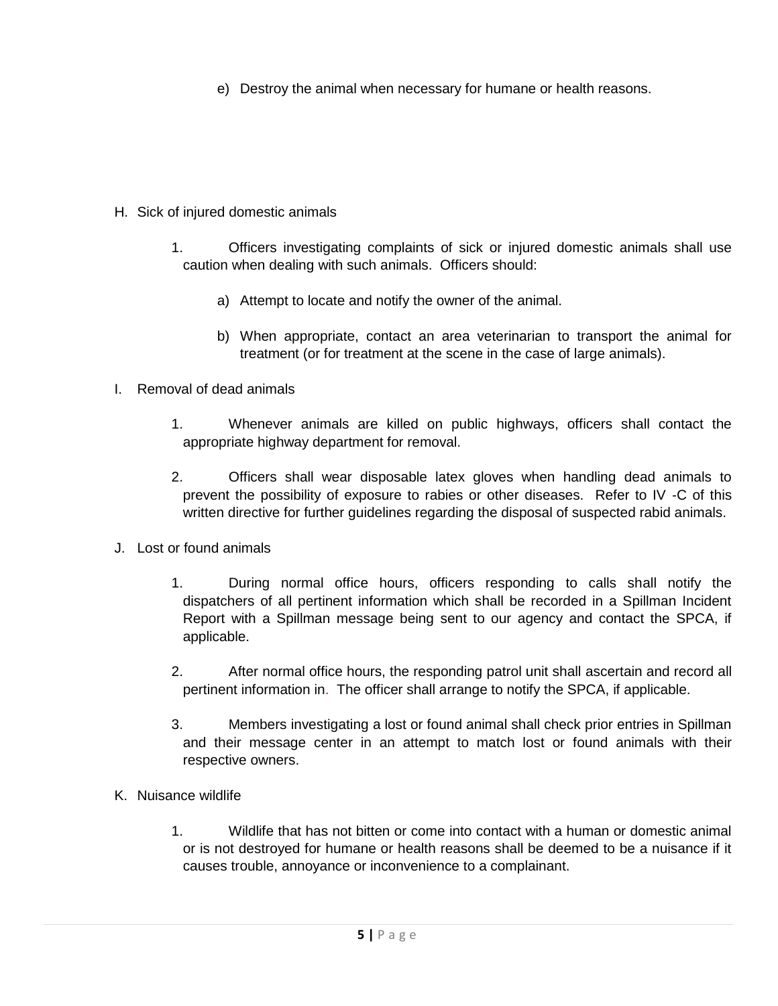e) Destroy the animal when necessary for humane or health reasons.

- H. Sick of injured domestic animals
	- 1. Officers investigating complaints of sick or injured domestic animals shall use caution when dealing with such animals. Officers should:
		- a) Attempt to locate and notify the owner of the animal.
		- b) When appropriate, contact an area veterinarian to transport the animal for treatment (or for treatment at the scene in the case of large animals).
- I. Removal of dead animals
	- 1. Whenever animals are killed on public highways, officers shall contact the appropriate highway department for removal.
	- 2. Officers shall wear disposable latex gloves when handling dead animals to prevent the possibility of exposure to rabies or other diseases. Refer to IV -C of this written directive for further guidelines regarding the disposal of suspected rabid animals.
- J. Lost or found animals
	- 1. During normal office hours, officers responding to calls shall notify the dispatchers of all pertinent information which shall be recorded in a Spillman Incident Report with a Spillman message being sent to our agency and contact the SPCA, if applicable.
	- 2. After normal office hours, the responding patrol unit shall ascertain and record all pertinent information in. The officer shall arrange to notify the SPCA, if applicable.
	- 3. Members investigating a lost or found animal shall check prior entries in Spillman and their message center in an attempt to match lost or found animals with their respective owners.
- K. Nuisance wildlife
	- 1. Wildlife that has not bitten or come into contact with a human or domestic animal or is not destroyed for humane or health reasons shall be deemed to be a nuisance if it causes trouble, annoyance or inconvenience to a complainant.